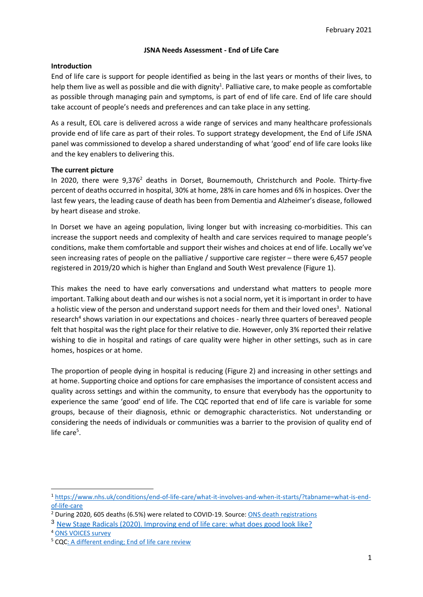# **JSNA Needs Assessment - End of Life Care**

#### **Introduction**

End of life care is support for people identified as being in the last years or months of their lives, to help them live as well as possible and die with dignity<sup>1</sup>. Palliative care, to make people as comfortable as possible through managing pain and symptoms, is part of end of life care. End of life care should take account of people's needs and preferences and can take place in any setting.

As a result, EOL care is delivered across a wide range of services and many healthcare professionals provide end of life care as part of their roles. To support strategy development, the End of Life JSNA panel was commissioned to develop a shared understanding of what 'good' end of life care looks like and the key enablers to delivering this.

### **The current picture**

In 2020, there were  $9.376<sup>2</sup>$  deaths in Dorset, Bournemouth, Christchurch and Poole. Thirty-five percent of deaths occurred in hospital, 30% at home, 28% in care homes and 6% in hospices. Over the last few years, the leading cause of death has been from Dementia and Alzheimer's disease, followed by heart disease and stroke.

In Dorset we have an ageing population, living longer but with increasing co-morbidities. This can increase the support needs and complexity of health and care services required to manage people's conditions, make them comfortable and support their wishes and choices at end of life. Locally we've seen increasing rates of people on the palliative / supportive care register – there were 6,457 people registered in 2019/20 which is higher than England and South West prevalence (Figure 1).

This makes the need to have early conversations and understand what matters to people more important. Talking about death and our wishes is not a social norm, yet it is important in order to have a holistic view of the person and understand support needs for them and their loved ones<sup>3</sup>. National research<sup>4</sup> shows variation in our expectations and choices - nearly three quarters of bereaved people felt that hospital was the right place for their relative to die. However, only 3% reported their relative wishing to die in hospital and ratings of care quality were higher in other settings, such as in care homes, hospices or at home.

The proportion of people dying in hospital is reducing (Figure 2) and increasing in other settings and at home. Supporting choice and options for care emphasises the importance of consistent access and quality across settings and within the community, to ensure that everybody has the opportunity to experience the same 'good' end of life. The CQC reported that end of life care is variable for some groups, because of their diagnosis, ethnic or demographic characteristics. Not understanding or considering the needs of individuals or communities was a barrier to the provision of quality end of life care<sup>5</sup>.

<sup>1</sup> [https://www.nhs.uk/conditions/end-of-life-care/what-it-involves-and-when-it-starts/?tabname=what-is-end](https://www.nhs.uk/conditions/end-of-life-care/what-it-involves-and-when-it-starts/?tabname=what-is-end-of-life-care)[of-life-care](https://www.nhs.uk/conditions/end-of-life-care/what-it-involves-and-when-it-starts/?tabname=what-is-end-of-life-care)

<sup>2</sup> During 2020, 605 deaths (6.5%) were related to COVID-19. Source[: ONS death registrations](https://www.ons.gov.uk/peoplepopulationandcommunity/healthandsocialcare/causesofdeath/datasets/deathregistrationsandoccurrencesbylocalauthorityandhealthboard)

<sup>3</sup> [New Stage Radicals \(2020\). Improving end of life care: what does good look like?](https://www.nextstageradicals.net/blog/improving-end-of-life-care-what-does-good-look-like/)

<sup>4</sup> [ONS VOICES survey](https://www.ons.gov.uk/peoplepopulationandcommunity/healthandsocialcare/healthcaresystem/bulletins/nationalsurveyofbereavedpeoplevoices/england2015)

<sup>5</sup> CQ[C: A different ending; End of life care review](https://www.cqc.org.uk/publications/themed-work/different-ending-end-life-care-review)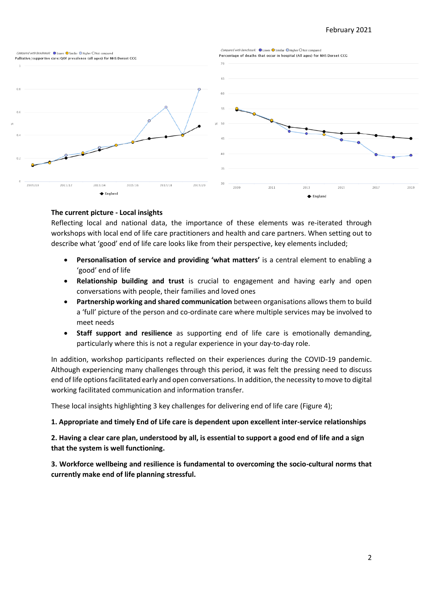### February 2021



### **The current picture - Local insights**

Reflecting local and national data, the importance of these elements was re-iterated through workshops with local end of life care practitioners and health and care partners. When setting out to describe what 'good' end of life care looks like from their perspective, key elements included;

- **Personalisation of service and providing 'what matters'** is a central element to enabling a 'good' end of life
- **Relationship building and trust** is crucial to engagement and having early and open conversations with people, their families and loved ones
- **Partnership working and shared communication** between organisations allows them to build a 'full' picture of the person and co-ordinate care where multiple services may be involved to meet needs
- **Staff support and resilience** as supporting end of life care is emotionally demanding, particularly where this is not a regular experience in your day-to-day role.

In addition, workshop participants reflected on their experiences during the COVID-19 pandemic. Although experiencing many challenges through this period, it was felt the pressing need to discuss end of life options facilitated early and open conversations. In addition, the necessity to move to digital working facilitated communication and information transfer.

These local insights highlighting 3 key challenges for delivering end of life care (Figure 4);

#### **1. Appropriate and timely End of Life care is dependent upon excellent inter-service relationships**

**2. Having a clear care plan, understood by all, is essential to support a good end of life and a sign that the system is well functioning.**

**3. Workforce wellbeing and resilience is fundamental to overcoming the socio-cultural norms that currently make end of life planning stressful.**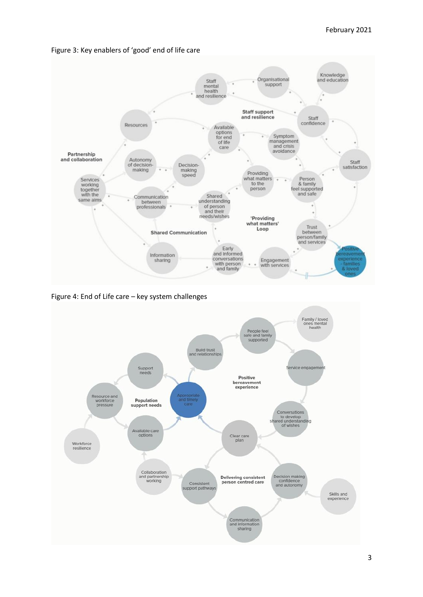

Figure 3: Key enablers of 'good' end of life care

Figure 4: End of Life care – key system challenges

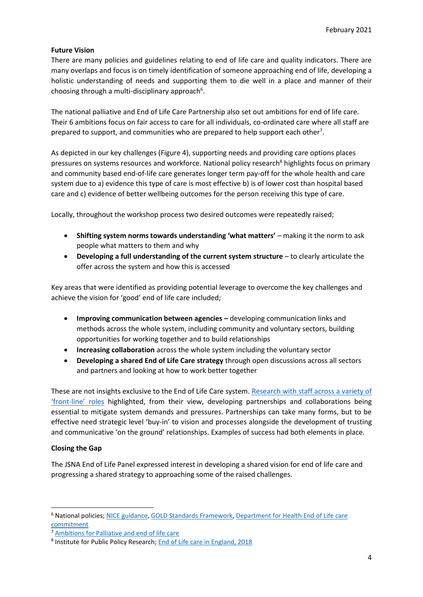### **Future Vision**

There are many policies and guidelines relating to end of life care and quality indicators. There are many overlaps and focus is on timely identification of someone approaching end of life, developing a holistic understanding of needs and supporting them to die well in a place and manner of their choosing through a multi-disciplinary approach<sup>6</sup>.

The national palliative and End of Life Care Partnership also set out ambitions for end of life care. Their 6 ambitions focus on fair access to care for all individuals, co-ordinated care where all staff are prepared to support, and communities who are prepared to help support each other<sup>7</sup>.

As depicted in our key challenges (Figure 4), supporting needs and providing care options places pressures on systems resources and workforce. National policy research<sup>8</sup> highlights focus on primary and community based end-of-life care generates longer term pay-off for the whole health and care system due to a) evidence this type of care is most effective b) is of lower cost than hospital based care and c) evidence of better wellbeing outcomes for the person receiving this type of care.

Locally, throughout the workshop process two desired outcomes were repeatedly raised;

- **Shifting system norms towards understanding 'what matters'** making it the norm to ask people what matters to them and why
- **Developing a full understanding of the current system structure** to clearly articulate the offer across the system and how this is accessed

Key areas that were identified as providing potential leverage to overcome the key challenges and achieve the vision for 'good' end of life care included;

- **Improving communication between agencies –** developing communication links and methods across the whole system, including community and voluntary sectors, building opportunities for working together and to build relationships
- **Increasing collaboration** across the whole system including the voluntary sector
- **Developing a shared End of Life Care strategy** through open discussions across all sectors and partners and looking at how to work better together

These are not insights exclusive to the End of Life Care system. [Research with staff across a variety of](https://public.tableau.com/profile/public.health.dorset#!/vizhome/InterviewingTableauStoryboardWebV2/JSNAInterviewingDashboard)  'front-[line' roles](https://public.tableau.com/profile/public.health.dorset#!/vizhome/InterviewingTableauStoryboardWebV2/JSNAInterviewingDashboard) highlighted, from their view, developing partnerships and collaborations being essential to mitigate system demands and pressures. Partnerships can take many forms, but to be effective need strategic level 'buy-in' to vision and processes alongside the development of trusting and communicative 'on the ground' relationships. Examples of success had both elements in place.

# **Closing the Gap**

The JSNA End of Life Panel expressed interest in developing a shared vision for end of life care and progressing a shared strategy to approaching some of the raised challenges.

<sup>6</sup> National policies; [NICE guidance,](https://www.nice.org.uk/guidance/ng142/chapter/Recommendations) [GOLD Standards Framework,](https://www.goldstandardsframework.org.uk/) [Department for Health End of Life care](https://assets.publishing.service.gov.uk/government/uploads/system/uploads/attachment_data/file/536326/choice-response.pdf)  [commitment](https://assets.publishing.service.gov.uk/government/uploads/system/uploads/attachment_data/file/536326/choice-response.pdf)

<sup>7</sup> [Ambitions for Palliative and end of life care](http://endoflifecareambitions.org.uk/wp-content/uploads/2015/09/Ambitions-for-Palliative-and-End-of-Life-Care.pdf)

<sup>&</sup>lt;sup>8</sup> Institute for Public Policy Research; [End of Life care in England, 2018](https://www.ippr.org/files/2018-05/end-of-life-care-in-england-may18.pdf)